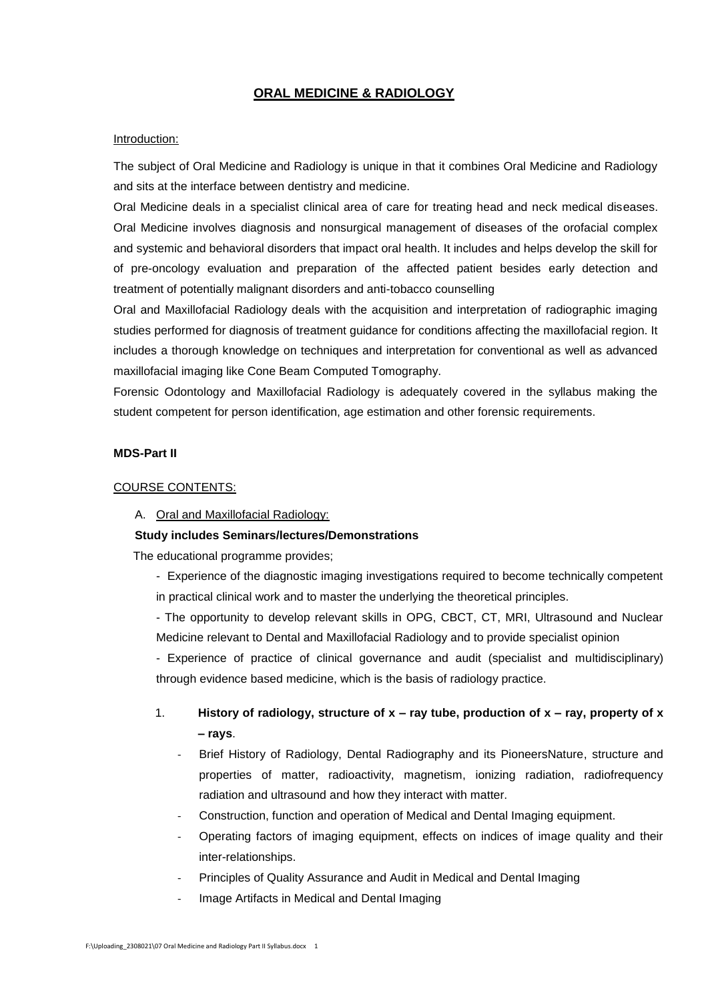### **ORAL MEDICINE & RADIOLOGY**

#### Introduction:

The subject of Oral Medicine and Radiology is unique in that it combines Oral Medicine and Radiology and sits at the interface between dentistry and medicine.

Oral Medicine deals in a specialist clinical area of care for treating head and neck medical diseases. Oral Medicine involves diagnosis and nonsurgical management of diseases of the orofacial complex and systemic and behavioral disorders that impact oral health. It includes and helps develop the skill for of pre-oncology evaluation and preparation of the affected patient besides early detection and treatment of potentially malignant disorders and anti-tobacco counselling

Oral and Maxillofacial Radiology deals with the acquisition and interpretation of radiographic imaging studies performed for diagnosis of treatment guidance for conditions affecting the maxillofacial region. It includes a thorough knowledge on techniques and interpretation for conventional as well as advanced maxillofacial imaging like Cone Beam Computed Tomography.

Forensic Odontology and Maxillofacial Radiology is adequately covered in the syllabus making the student competent for person identification, age estimation and other forensic requirements.

#### **MDS-Part II**

#### COURSE CONTENTS:

A. Oral and Maxillofacial Radiology:

#### **Study includes Seminars/lectures/Demonstrations**

The educational programme provides;

- Experience of the diagnostic imaging investigations required to become technically competent in practical clinical work and to master the underlying the theoretical principles.

- The opportunity to develop relevant skills in OPG, CBCT, CT, MRI, Ultrasound and Nuclear Medicine relevant to Dental and Maxillofacial Radiology and to provide specialist opinion

- Experience of practice of clinical governance and audit (specialist and multidisciplinary) through evidence based medicine, which is the basis of radiology practice.

- 1. **History of radiology, structure of x – ray tube, production of x – ray, property of x – rays**.
	- Brief History of Radiology, Dental Radiography and its PioneersNature, structure and properties of matter, radioactivity, magnetism, ionizing radiation, radiofrequency radiation and ultrasound and how they interact with matter.
	- Construction, function and operation of Medical and Dental Imaging equipment.
	- Operating factors of imaging equipment, effects on indices of image quality and their inter-relationships.
	- Principles of Quality Assurance and Audit in Medical and Dental Imaging
	- Image Artifacts in Medical and Dental Imaging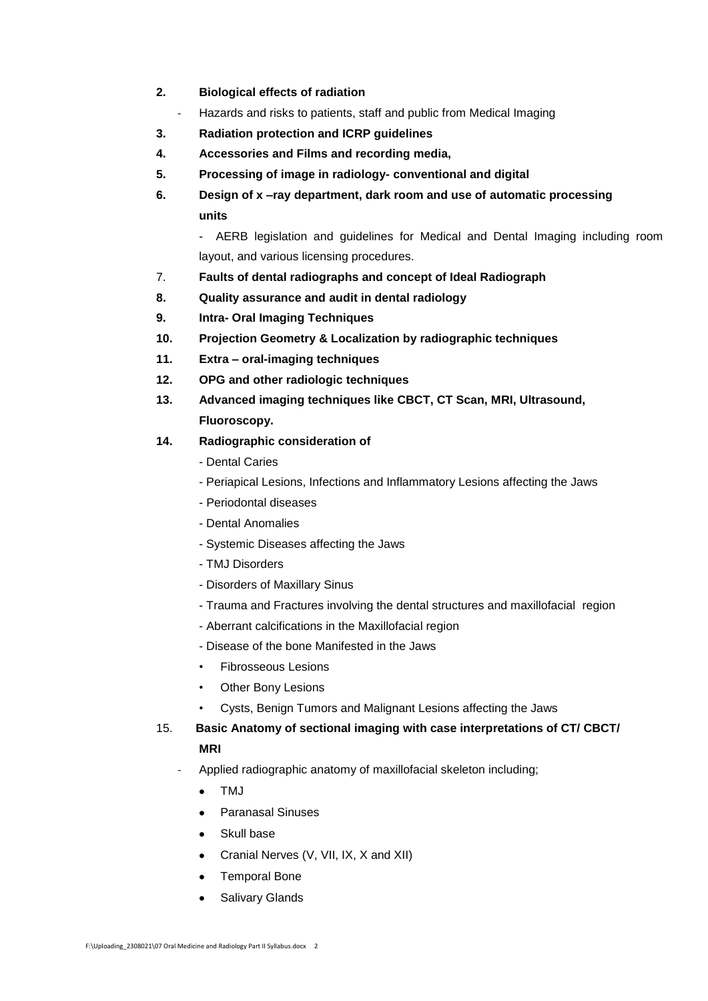- **2. Biological effects of radiation**
	- Hazards and risks to patients, staff and public from Medical Imaging
- **3. Radiation protection and ICRP guidelines**
- **4. Accessories and Films and recording media,**
- **5. Processing of image in radiology- conventional and digital**
- **6. Design of x –ray department, dark room and use of automatic processing units**

- AERB legislation and guidelines for Medical and Dental Imaging including room layout, and various licensing procedures.

- 7. **Faults of dental radiographs and concept of Ideal Radiograph**
- **8. Quality assurance and audit in dental radiology**
- **9. Intra- Oral Imaging Techniques**
- **10. Projection Geometry & Localization by radiographic techniques**
- **11. Extra – oral-imaging techniques**
- **12. OPG and other radiologic techniques**
- **13. Advanced imaging techniques like CBCT, CT Scan, MRI, Ultrasound, Fluoroscopy.**
- **14. Radiographic consideration of** 
	- Dental Caries
	- Periapical Lesions, Infections and Inflammatory Lesions affecting the Jaws
	- Periodontal diseases
	- Dental Anomalies
	- Systemic Diseases affecting the Jaws
	- TMJ Disorders
	- Disorders of Maxillary Sinus
	- Trauma and Fractures involving the dental structures and maxillofacial region
	- Aberrant calcifications in the Maxillofacial region
	- Disease of the bone Manifested in the Jaws
	- Fibrosseous Lesions
	- Other Bony Lesions
		- Cysts, Benign Tumors and Malignant Lesions affecting the Jaws
- 15. **Basic Anatomy of sectional imaging with case interpretations of CT/ CBCT/ MRI**
	- Applied radiographic anatomy of maxillofacial skeleton including;
		- $\bullet$  TMJ
		- Paranasal Sinuses
		- Skull base
		- Cranial Nerves (V, VII, IX, X and XII)
		- Temporal Bone
		- **•** Salivary Glands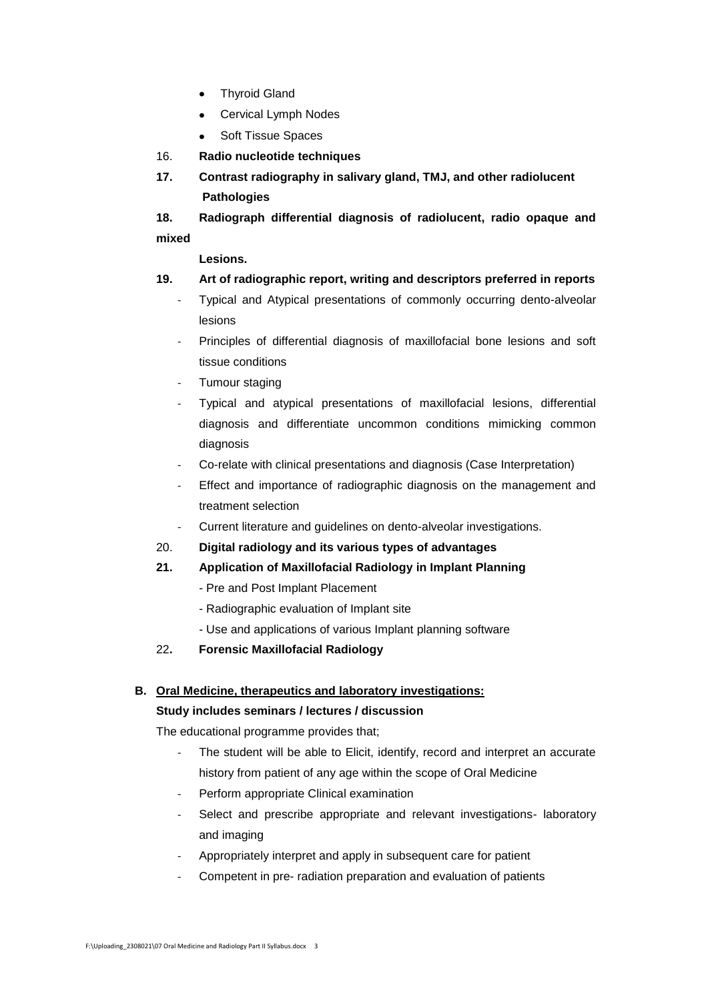- Thyroid Gland
- Cervical Lymph Nodes
- Soft Tissue Spaces
- 16. **Radio nucleotide techniques**
- **17. Contrast radiography in salivary gland, TMJ, and other radiolucent Pathologies**

**18. Radiograph differential diagnosis of radiolucent, radio opaque and mixed**

 **Lesions.**

# **19. Art of radiographic report, writing and descriptors preferred in reports**

- Typical and Atypical presentations of commonly occurring dento-alveolar lesions
- Principles of differential diagnosis of maxillofacial bone lesions and soft tissue conditions
- Tumour staging
- Typical and atypical presentations of maxillofacial lesions, differential diagnosis and differentiate uncommon conditions mimicking common diagnosis
- Co-relate with clinical presentations and diagnosis (Case Interpretation)
- Effect and importance of radiographic diagnosis on the management and treatment selection
- Current literature and guidelines on dento-alveolar investigations.
- 20. **Digital radiology and its various types of advantages**
- **21. Application of Maxillofacial Radiology in Implant Planning**
	- Pre and Post Implant Placement
	- Radiographic evaluation of Implant site
	- Use and applications of various Implant planning software
- 22**. Forensic Maxillofacial Radiology**

# **B. Oral Medicine, therapeutics and laboratory investigations:**

## **Study includes seminars / lectures / discussion**

The educational programme provides that;

- The student will be able to Elicit, identify, record and interpret an accurate history from patient of any age within the scope of Oral Medicine
- Perform appropriate Clinical examination
- Select and prescribe appropriate and relevant investigations- laboratory and imaging
- Appropriately interpret and apply in subsequent care for patient
- Competent in pre- radiation preparation and evaluation of patients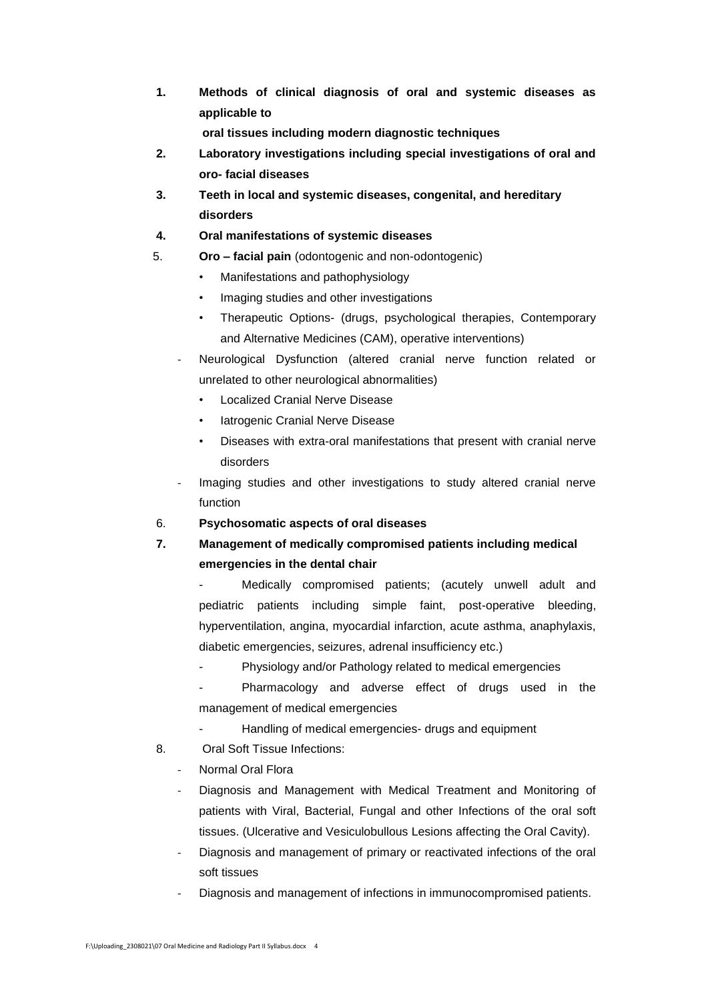**1. Methods of clinical diagnosis of oral and systemic diseases as applicable to**

**oral tissues including modern diagnostic techniques**

- **2. Laboratory investigations including special investigations of oral and oro- facial diseases**
- **3. Teeth in local and systemic diseases, congenital, and hereditary disorders**

## **4. Oral manifestations of systemic diseases**

- 5. **Oro – facial pain** (odontogenic and non-odontogenic)
	- Manifestations and pathophysiology
	- Imaging studies and other investigations
	- Therapeutic Options- (drugs, psychological therapies, Contemporary and Alternative Medicines (CAM), operative interventions)
	- Neurological Dysfunction (altered cranial nerve function related or unrelated to other neurological abnormalities)
		- Localized Cranial Nerve Disease
		- Iatrogenic Cranial Nerve Disease
		- Diseases with extra-oral manifestations that present with cranial nerve disorders
	- Imaging studies and other investigations to study altered cranial nerve function

## 6. **Psychosomatic aspects of oral diseases**

**7. Management of medically compromised patients including medical emergencies in the dental chair**

Medically compromised patients; (acutely unwell adult and pediatric patients including simple faint, post-operative bleeding, hyperventilation, angina, myocardial infarction, acute asthma, anaphylaxis, diabetic emergencies, seizures, adrenal insufficiency etc.)

- Physiology and/or Pathology related to medical emergencies
- Pharmacology and adverse effect of drugs used in the management of medical emergencies
	- Handling of medical emergencies- drugs and equipment
- 8. Oral Soft Tissue Infections:
	- Normal Oral Flora
	- Diagnosis and Management with Medical Treatment and Monitoring of patients with Viral, Bacterial, Fungal and other Infections of the oral soft tissues. (Ulcerative and Vesiculobullous Lesions affecting the Oral Cavity).
	- Diagnosis and management of primary or reactivated infections of the oral soft tissues
	- Diagnosis and management of infections in immunocompromised patients.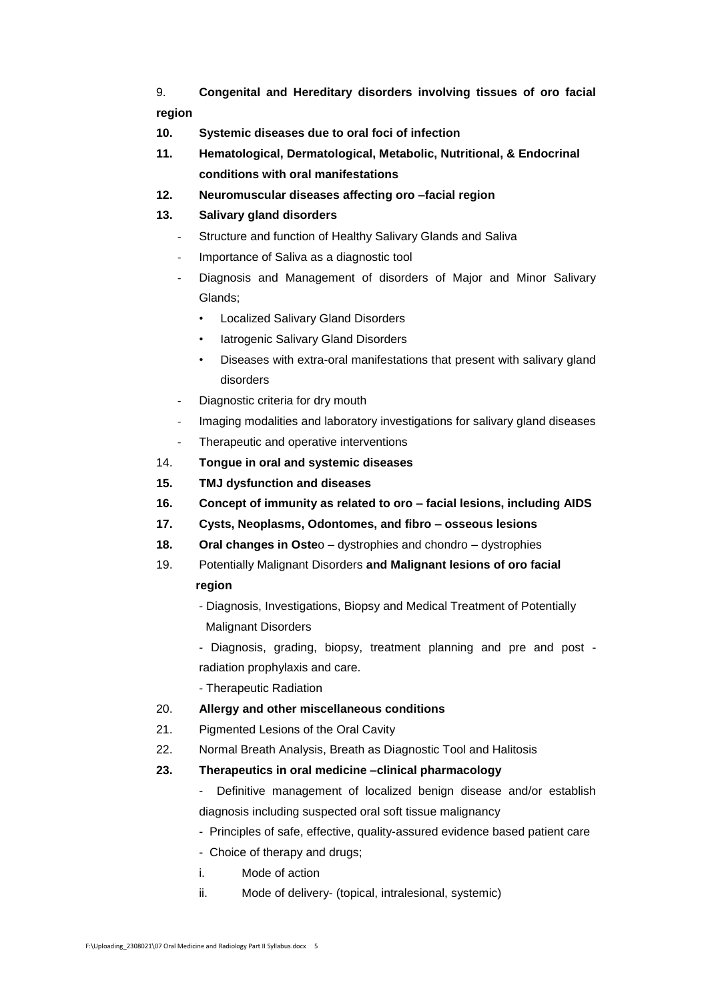9. **Congenital and Hereditary disorders involving tissues of oro facial region**

- **10. Systemic diseases due to oral foci of infection**
- **11. Hematological, Dermatological, Metabolic, Nutritional, & Endocrinal conditions with oral manifestations**
- **12. Neuromuscular diseases affecting oro –facial region**

# **13. Salivary gland disorders**

- Structure and function of Healthy Salivary Glands and Saliva
- Importance of Saliva as a diagnostic tool
- Diagnosis and Management of disorders of Major and Minor Salivary Glands;
	- Localized Salivary Gland Disorders
	- latrogenic Salivary Gland Disorders
	- Diseases with extra-oral manifestations that present with salivary gland disorders
- Diagnostic criteria for dry mouth
- Imaging modalities and laboratory investigations for salivary gland diseases
- Therapeutic and operative interventions
- 14. **Tongue in oral and systemic diseases**
- **15. TMJ dysfunction and diseases**
- **16. Concept of immunity as related to oro – facial lesions, including AIDS**
- **17. Cysts, Neoplasms, Odontomes, and fibro – osseous lesions**
- **18. Oral changes in Oste**o dystrophies and chondro dystrophies
- 19. Potentially Malignant Disorders **and Malignant lesions of oro facial region**
	- Diagnosis, Investigations, Biopsy and Medical Treatment of Potentially Malignant Disorders
	- Diagnosis, grading, biopsy, treatment planning and pre and post radiation prophylaxis and care.
	- Therapeutic Radiation
- 20. **Allergy and other miscellaneous conditions**
- 21. Pigmented Lesions of the Oral Cavity
- 22. Normal Breath Analysis, Breath as Diagnostic Tool and Halitosis
- **23. Therapeutics in oral medicine –clinical pharmacology**
	- Definitive management of localized benign disease and/or establish diagnosis including suspected oral soft tissue malignancy
	- Principles of safe, effective, quality-assured evidence based patient care
	- Choice of therapy and drugs;
	- i. Mode of action
	- ii. Mode of delivery- (topical, intralesional, systemic)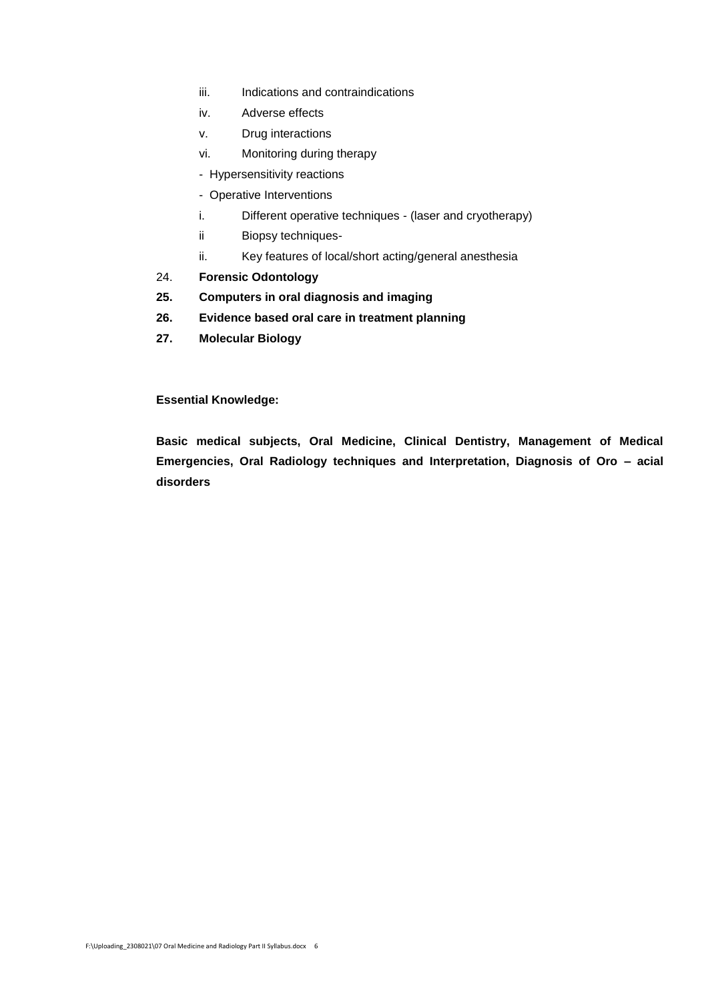- iii. Indications and contraindications
- iv. Adverse effects
- v. Drug interactions
- vi. Monitoring during therapy
- Hypersensitivity reactions
- Operative Interventions
- i. Different operative techniques (laser and cryotherapy)
- ii Biopsy techniques-
- ii. Key features of local/short acting/general anesthesia
- 24. **Forensic Odontology**
- **25. Computers in oral diagnosis and imaging**
- **26. Evidence based oral care in treatment planning**
- **27. Molecular Biology**

**Essential Knowledge:**

**Basic medical subjects, Oral Medicine, Clinical Dentistry, Management of Medical Emergencies, Oral Radiology techniques and Interpretation, Diagnosis of Oro – acial disorders**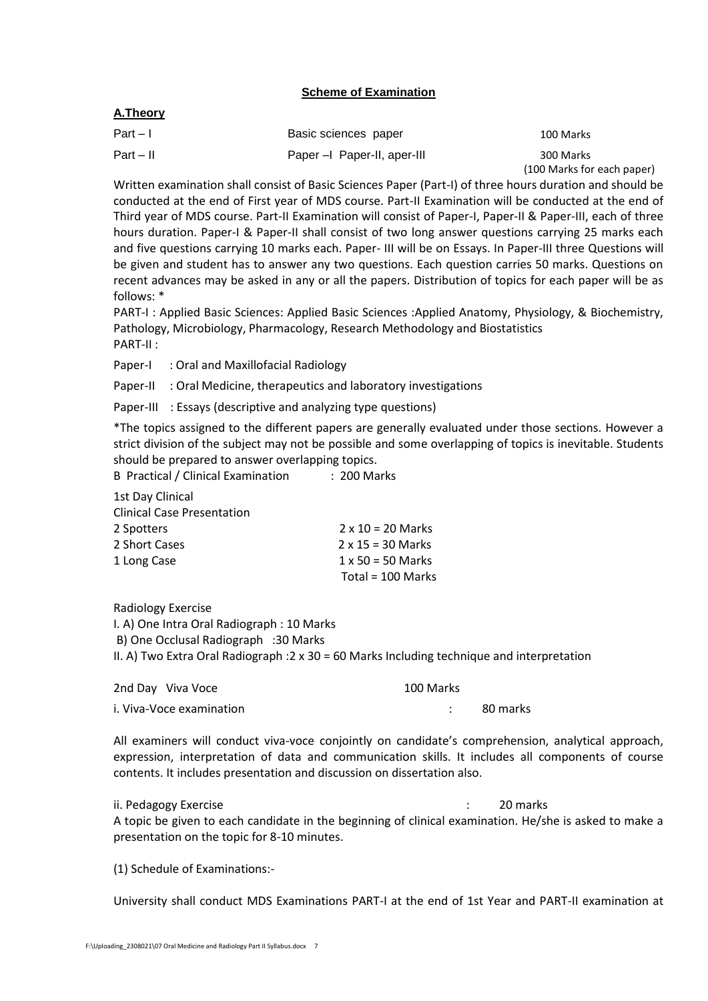# **Scheme of Examination**

# **A.Theory**

| $Part - 1$  | Basic sciences paper       | 100 Marks                  |
|-------------|----------------------------|----------------------------|
| $Part - II$ | Paper - Paper-II, aper-III | 300 Marks                  |
|             |                            | (100 Marks for each paper) |

Written examination shall consist of Basic Sciences Paper (Part-I) of three hours duration and should be conducted at the end of First year of MDS course. Part-II Examination will be conducted at the end of Third year of MDS course. Part-II Examination will consist of Paper-I, Paper-II & Paper-III, each of three hours duration. Paper-I & Paper-II shall consist of two long answer questions carrying 25 marks each and five questions carrying 10 marks each. Paper- III will be on Essays. In Paper-III three Questions will be given and student has to answer any two questions. Each question carries 50 marks. Questions on recent advances may be asked in any or all the papers. Distribution of topics for each paper will be as follows: \*

PART-I : Applied Basic Sciences: Applied Basic Sciences :Applied Anatomy, Physiology, & Biochemistry, Pathology, Microbiology, Pharmacology, Research Methodology and Biostatistics PART-II :

Paper-I : Oral and Maxillofacial Radiology

Paper-II : Oral Medicine, therapeutics and laboratory investigations

Paper-III : Essays (descriptive and analyzing type questions)

\*The topics assigned to the different papers are generally evaluated under those sections. However a strict division of the subject may not be possible and some overlapping of topics is inevitable. Students should be prepared to answer overlapping topics.

B Practical / Clinical Examination : 200 Marks

1st Day Clinical Clinical Case Presentation 2 Spotters  $2 \times 10 = 20$  Marks 2 Short Cases 2 x 15 = 30 Marks 1 Long Case 1 x 50 = 50 Marks Total = 100 Marks

Radiology Exercise I. A) One Intra Oral Radiograph : 10 Marks B) One Occlusal Radiograph :30 Marks

II. A) Two Extra Oral Radiograph :2 x 30 = 60 Marks Including technique and interpretation

2nd Day Viva Voce 200 100 Marks i. Viva-Voce examination in the set of the set of the set of the set of the set of the set of the set of the s

All examiners will conduct viva-voce conjointly on candidate's comprehension, analytical approach, expression, interpretation of data and communication skills. It includes all components of course contents. It includes presentation and discussion on dissertation also.

ii. Pedagogy Exercise **in the set of the set of the set of the set of the set of the set of the set of the set o** 

A topic be given to each candidate in the beginning of clinical examination. He/she is asked to make a presentation on the topic for 8-10 minutes.

(1) Schedule of Examinations:-

University shall conduct MDS Examinations PART-I at the end of 1st Year and PART-II examination at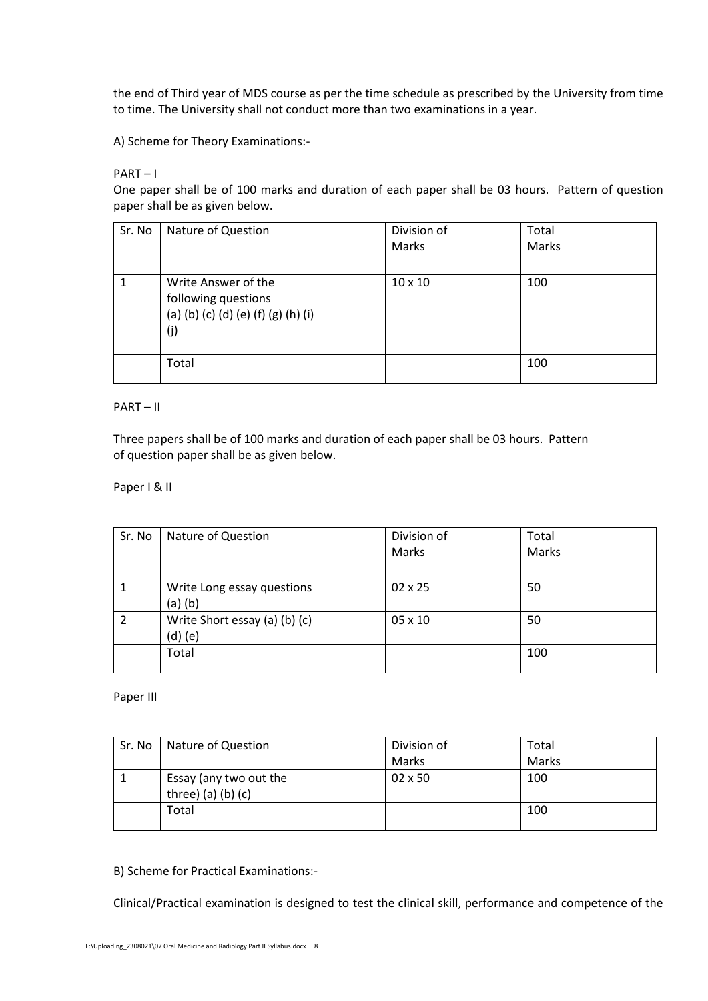the end of Third year of MDS course as per the time schedule as prescribed by the University from time to time. The University shall not conduct more than two examinations in a year.

A) Scheme for Theory Examinations:-

## PART – I

One paper shall be of 100 marks and duration of each paper shall be 03 hours. Pattern of question paper shall be as given below.

| Sr. No | Nature of Question                                                                       | Division of<br>Marks | Total<br>Marks |
|--------|------------------------------------------------------------------------------------------|----------------------|----------------|
|        | Write Answer of the<br>following questions<br>(a) (b) (c) (d) (e) (f) (g) (h) (i)<br>(j) | $10 \times 10$       | 100            |
|        | Total                                                                                    |                      | 100            |

# PART – II

Three papers shall be of 100 marks and duration of each paper shall be 03 hours. Pattern of question paper shall be as given below.

## Paper I & II

| Sr. No         | Nature of Question                         | Division of<br><b>Marks</b> | Total<br>Marks |
|----------------|--------------------------------------------|-----------------------------|----------------|
|                | Write Long essay questions<br>$(a)$ $(b)$  | $02 \times 25$              | 50             |
| $\mathfrak{p}$ | Write Short essay (a) (b) (c)<br>$(d)$ (e) | 05 x 10                     | 50             |
|                | Total                                      |                             | 100            |

## Paper III

| Sr. No | Nature of Question                             | Division of    | Total |
|--------|------------------------------------------------|----------------|-------|
|        |                                                | Marks          | Marks |
|        | Essay (any two out the<br>three) (a) (b) $(c)$ | $02 \times 50$ | 100   |
|        | Total                                          |                | 100   |

B) Scheme for Practical Examinations:-

Clinical/Practical examination is designed to test the clinical skill, performance and competence of the